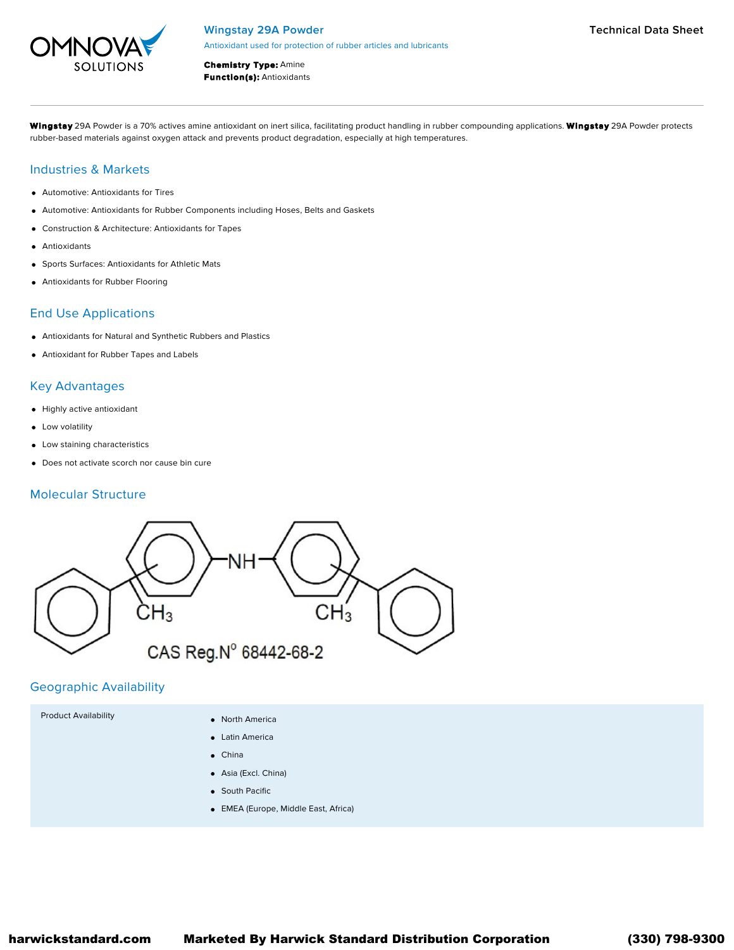

Chemistry Type: Amine **Function(s): Antioxidants** 

Wingstay 29A Powder is a 70% actives amine antioxidant on inert silica, facilitating product handling in rubber compounding applications. Wingstay 29A Powder protects rubber-based materials against oxygen attack and prevents product degradation, especially at high temperatures.

## Industries & Markets

- Automotive: Antioxidants for Tires
- Automotive: Antioxidants for Rubber Components including Hoses, Belts and Gaskets
- Construction & Architecture: Antioxidants for Tapes
- Antioxidants
- Sports Surfaces: Antioxidants for Athletic Mats
- Antioxidants for Rubber Flooring

## End Use Applications

- Antioxidants for Natural and Synthetic Rubbers and Plastics
- Antioxidant for Rubber Tapes and Labels

## Key Advantages

- Highly active antioxidant
- **•** Low volatility
- Low staining characteristics
- Does not activate scorch nor cause bin cure

## Molecular Structure



## Geographic Availability

- Product Availability **No. 1988 Contract Availability Contract America** 
	- Latin America
	- China
	- Asia (Excl. China)
	- **•** South Pacific
	- EMEA (Europe, Middle East, Africa)